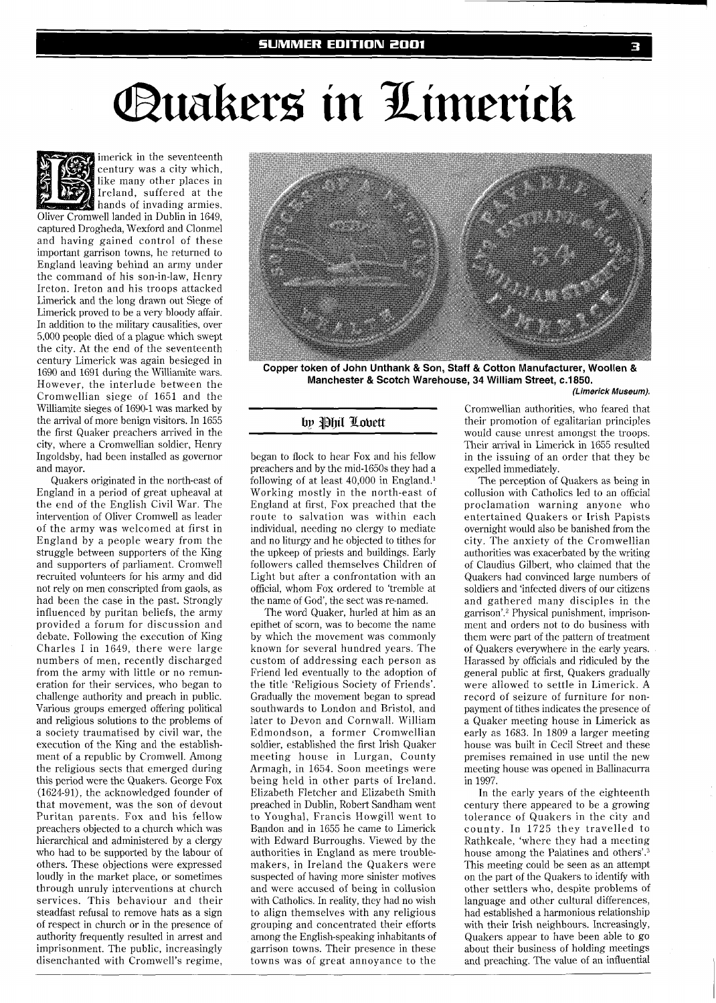# Quakers in Limerick



imerick in the seventeenth century was a city which, like many other places in Ireland, suffered at the hands of invading armies.

Oliver Cromwell landed in Dublin in 1649. captured Drogheda, Wexford and Clonmel and having gained control of these important garrison towns, he returned to England leaving behind an army under the command of his son-in-law, Henry Ireton. Ireton and his troops attacked Limerick and the long drawn out Siege of Limerick proved to be a very bloody affair. In addition to the military causalities, over 5,000 people died of a plague which swept the city. At the end of the seventeenth century Limerick was again besieged in 1690 and 1691 during the Williamite wars. However, the interlude between the Cromwellian siege of 1651 and the Williamite sieges of 1690-1 was marked by the arrival of more benign visitors. In 1655 the first Quaker preachers arrived in the city, where a Cromwellian soldier, Henry Ingoldsby, had been installed as governor and mayor.

Quakers originated in the north-east of England in a period of great upheaval at the end of the English Civil War. The intervention of Oliver Cromwell as leader of the army was welcomed at first in England by a people weary from the struggle between supporters of the King and supporters of parliament. Cromwell recruited volunteers for his army and did not rely on men conscripted from gaols, as had been the case in the past. Strongly influenced by puritan beliefs, the army provided a forum for discussion and debate. Following the execution of King Charles I in 1649, there were large numbers of men, recently discharged from the army with little or no remuneration for their services, who began to challenge authority and preach in public. Various groups emerged offering political and religious solutions to the problems of a society traumatised by civil war, the execution of the King and the establishment of a republic by Cromwell. Among the religious sects that emerged during this period were the Quakers. George Fox (1624-91), the acknowledged founder of that movement, was the son of devout Puritan parents. Fox and his fellow preachers objected to a church which was hierarchical and administered by a clergy who had to be supported by the labour of others. These objections were expressed loudly in the market place, or sometimes through unruly interventions at church services. This behaviour and their steadfast refusal to remove hats as a sign of respect in church or in the presence of authority frequently resulted in arrest and imprisonment. The public, increasingly disenchanted with Cromwell's regime,



Copper token of John Unthank & Son, Staff & Cotton Manufacturer, Woollen & **Manchester** & **Scotch Warehouse, 34 William Street, c.1850.** 

#### **(Limerick Museum).**

## by Phil Lobett

began to flock to hear Fox and his fellow preachers and by the mid-1650s they had a following of at least 40,000 in England.' Working mostly in the north-east of England at first, Fox preached that the route to salvation was within each individual, needing no clergy to mediate and no liturgy and he objected to tithes for the upkeep of priests and buildings. Early followers called themselves Children of Light but after a confrontation with an official, whom Fox ordered to 'tremble at the name of God', the sect was re-named.

The word Quaker, hurled at him as an epithet of scorn, was to become the name by which the movement was commonly known for several hundred years. The custom of addressing each person as Friend led eventually to the adoption of the title 'Religious Society of Friends'. Gradually the movement began to spread southwards to London and Bristol, and later to Devon and Cornwall. William Edmondson, a former Cromwellian soldier, established the first Irish Quaker meeting house in Lurgan, County Armagh, in 1654. Soon meetings were being held in other parts of Ireland. Elizabeth Fletcher and Elizabeth Smith preached in Dublin, Robert Sandham went to Youghal, Francis Howgill went to Bandon and in 1655 he came to Limerick with Edward Burroughs. Viewed by the authorities in England as mere troublemakers, in Ireland the Quakers were suspected of having more sinister motives and were accused of being in collusion with Catholics. In reality, they had no wish to align themselves with any religious grouping and concentrated their efforts among the English-speaking inhabitants of garrison towns. Their presence in these towns was of great annoyance to the

Cromwellian authorities, who feared that their promotion of egalitarian principles would cause unrest amongst the troops. Their arrival in Limerick in 1655 resulted in the issuing of an order that they be expelled immediately.

The perception of Quakers as being in collusion with Catholics led to an official proclamation warning anyone who entertained Quakers or Irish Papists overnight would also be banished from the city. The anxiety of the Cromwellian authorities was exacerbated by the writing of Claudius Gilbert, who claimed that the Quakers had convinced large numbers of soldiers and 'infected divers of our citizens and gathered many disciples in the garrison'.<sup>2</sup> Physical punishment, imprisonment and orders not to do business with them were part of the pattern of treatment of Quakers everywhere in the early years. Harassed by officials and ridiculed by the general public at first, Quakers gradually were allowed to settle in Limerick. A record of seizure of furniture for nonpayment of tithes indicates the presence of a Quaker meeting house in Limerick as early as 1683. In 1809 a larger meeting house was built in Cecil Street and these premises remained in use until the new meeting house was opened in Ballinacurra in 1997.

In the early years of the eighteenth century there appeared to be a growing tolerance of Quakers in the city and county. In 1725 they travelled to Rathkeale, 'where they had a meeting house among the Palatines and others'. $3$ This meeting could be seen as an attempt on the part of the Quakers to identify with other settlers who, despite problems of language and other cultural differences, had established a harmonious relationship with their Irish neighbours. Increasingly, Quakers appear to have been able to go about their business of holding meetings and preaching. The value of an influential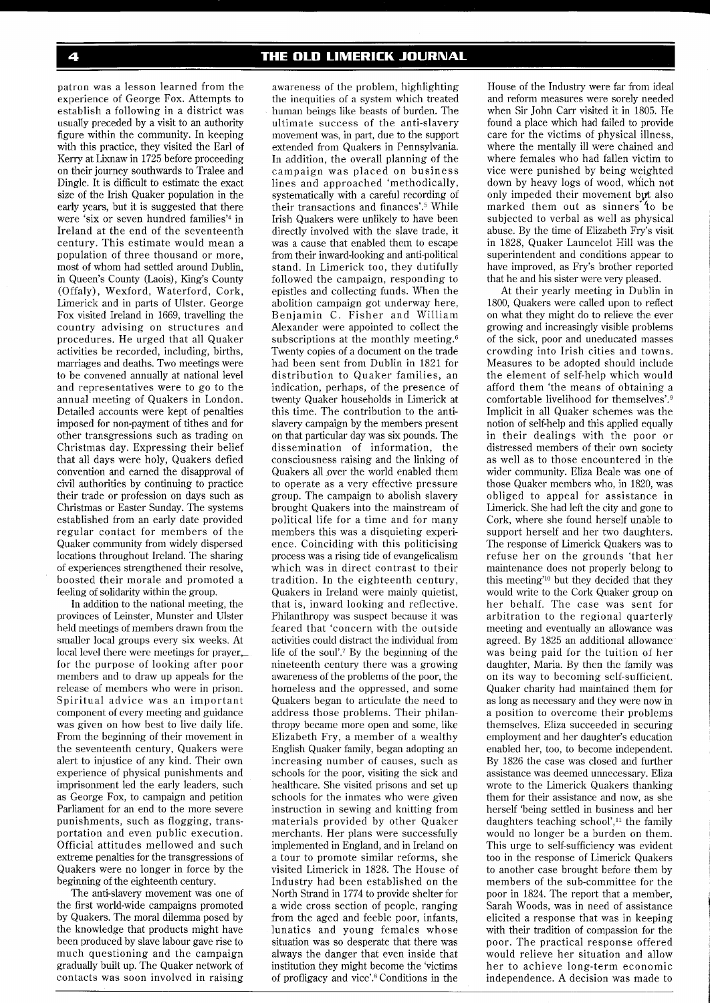patron was a lesson learned from the experience of George Fox. Attempts to establish a following in a district was usually preceded by a visit to an authority figure within the community. In keeping with this practice, they visited the Earl of Kerry at Lixnaw in 1725 before proceeding on their journey southwards to Tralee and Dingle. It is difficult to estimate the exact size of the Irish Quaker population in the early years, but it is suggested that there were 'six or seven hundred families'4 in Ireland at the end of the seventeenth century. This estimate would mean a population of three thousand or more, most of whom had settled around Dublin, in Queen's County (Laois), King's County (Offaly), Wexford, Waterford, Cork, Limerick and in parts of Ulster. George Fox visited Ireland in 1669, travelling the country advising on structures and procedures. He urged that all Quaker activities be recorded, including, births, marriages and deaths. Two meetings were to be convened annually at national level and representatives were to go to the annual meeting of Quakers in London. Detailed accounts were kept of penalties imposed for non-payment of tithes and for other transgressions such as trading on Christmas day. Expressing their belief that all days were holy, Quakers defied convention and earned the disapproval of civil authorities by continuing to practice their trade or profession on days such as Christmas or Easter Sunday. The systems established from an early date provided regular contact for members of the Quaker community from widely dispersed locations throughout Ireland. The sharing of experiences strengthened their resolve, boosted their morale and promoted a feeling of solidarity within the group.

In addition to the national meeting, the provinces of Leinster, Munster and Ulster held meetings of members drawn from the smaller local groups every six weeks. At local level there were meetings for prayer, for the purpose of looking after poor members and to draw up appeals for the release of members who were in prison. Spiritual advice was an important component of every meeting and guidance was given on how best to live daily life. From the beginning of their movement in the seventeenth century, Quakers were alert to injustice of any kind. Their own experience of physical punishments and imprisonment led the early leaders, such as George Fox, to campaign and petition Parliament for an end to the more severe punishments, such as flogging, transportation and even public execution. Official attitudes mellowed and such extreme penalties for the transgressions of Quakers were no longer in force by the beginning of the eighteenth century.

The anti-slavery movement was one of the first world-wide campaigns promoted by Quakers. The moral dilemma posed by the knowledge that products might have been produced by slave labour gave rise to much questioning and the campaign gradually built up. The Quaker network of contacts was soon involved in raising

awareness of the problem, highlighting the inequities of a system which treated human beings like beasts of burden. The ultimate success of the anti-slavery movement was, in part, due to the support extended from Quakers in Pennsylvania. In addition, the overall planning of the campaign was placed on business lines and approached 'methodically, systematically with a careful recording of their transactions and finances'.<sup>5</sup> While Irish Quakers were unlikely to have been directly involved with the slave trade, it was a cause that enabled them to escape from their inward-looking and anti-political stand. In Limerick too, they dutifully followed the campaign, responding to epistles and collecting funds. When the abolition campaign got underway here, Benjamin C. Fisher and William Alexander were appointed to collect the subscriptions at the monthly meeting.<sup>6</sup> Twenty copies of a document on the trade had been sent from Dublin in 1821 for distribution to Quaker families, an indication, perhaps, of the presence of twenty Quaker households in Limerick at this time. The contribution to the antislavery campaign by the members present on that particular day was six pounds. The dissemination of information, the consciousness raising and the linking of Quakers all over the world enabled them to operate as a very effective pressure group. The campaign to abolish slavery brought Quakers into the mainstream of political life for a time and for many members this was a disquieting experience. Coinciding with this politicising process was a rising tide of evangelicalism which was in direct contrast to their tradition. In the eighteenth century, Quakers in Ireland were mainly quietist, that is, inward looking and reflective. Philanthropy was suspect because it was feared that 'concern with the outside activities could distract the individual from life of the soul'.7 By the beginning of the nineteenth century there was a growing awareness of the problems of the poor, the homeless and the oppressed, and some Quakers began to articulate the need to address those problems. Their philanthropy became more open and some, like Elizabeth Fry, a member of a wealthy English Quaker family, began adopting an increasing number of causes, such as schools for the poor, visiting the sick and healthcare. She visited prisons and set up schools for the inmates who were given instruction in sewing and knitting from materials provided by other Quaker merchants. Her plans were successfully implemented in England, and in Ireland on a tour to promote similar reforms, she visited Limerick in 1828. The House of Industry had been established on the North Strand in 1774 to provide shelter for a wide cross section of people, ranging from the aged and feeble poor, infants, lunatics and young females whose situation was so desperate that there was always the danger that even inside that institution they might become the 'victims of profligacy and vice'.8 Conditions in the

House of the Industry were far from ideal and reform measures were sorely needed when Sir John Carr visited it in 1805. He found a place which had failed to provide care for the victims of physical illness, where the mentally ill were chained and where females who had fallen victim to vice were punished by being weighted down by heavy logs of wood, which not only impeded their movement byt also marked them out as sinners to be subjected to verbal as well as physical abuse. By the time of Elizabeth Fry's visit in 1828, Quaker Launcelot Hill was the superintendent and conditions appear to have improved, as Fry's brother reported that he and his sister were very pleased.

At their yearly meeting in Dublin in 1800, Quakers were called upon to reflect on what they might do to relieve the ever growing and increasingly visible problems of the sick, poor and uneducated masses crowding into Irish cities and towns. Measures to be adopted should include the element of self-help which would afford them 'the means of obtaining a comfortable livelihood for themselves'.<sup>9</sup> Implicit in all Quaker schemes was the notion of self-help and this applied equally in their dealings with the poor or distressed members of their own society as well as to those encountered in the wider community. Eliza Beale was one of those Quaker members who, in 1820, was obliged to appeal for assistance in Limerick. She had left the city and gone to Cork, where she found herself unable to support herself and her two daughters. The response of Limerick Quakers was to refuse her on the grounds 'that her maintenance does not properly belong to this meeting'<sup>10</sup> but they decided that they would write to the Cork Quaker group on her behalf. The case was sent for arbitration to the regional quarterly meeting and eventually an allowance was agreed. By 1825 an additional allowance was being paid for the tuition of her daughter, Maria. By then the family was on its way to becoming self-sufficient. Quaker charity had maintained them for as long as necessary and they were now in a position to overcome their problems themselves. Eliza succeeded in securing employment and her daughter's education enabled her, too, to become independent. By 1826 the case was closed and further assistance was deemed unnecessary. Eliza wrote to the Limerick Quakers thanking them for their assistance and now, as she herself 'being settled in business and her daughters teaching school', $<sup>11</sup>$  the family</sup> would no longer be a burden on them. This urge to self-sufficiency was evident too in the response of Limerick Quakers to another case brought before them by members of the sub-committee for the poor in 1824. The report that a member, Sarah Woods, was in need of assistance elicited a response that was in keeping with their tradition of compassion for the poor. The practical response offered would relieve her situation and allow her to achieve long-term economic independence. A decision was made to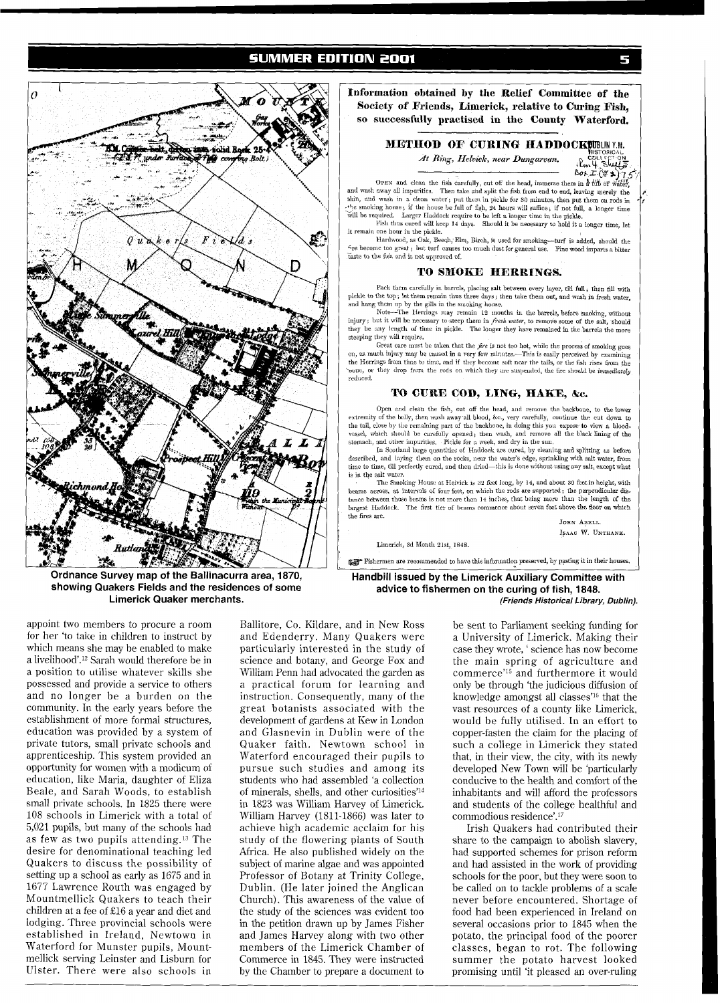# **SUMMER EDITION 2001**



**showing Quakers Fields and the residences of some Limerick Quaker merchants.** 

**Information obtained by the Eelief Committee of the Society of Friends, Limerick, relative to Curing Fish,**  *so* **successfully practised in the County Waterford.** 

### **METHOD OF CURING HADDOCKUBLIN Y.M.**

At Ring, Helvick, near Dungarvan.

Em 4 Stuffs

COFEN and clean the fisic carefully, cut off the head, immerse them in  $\frac{1}{2}$  ( $\frac{1}{2}$ )  $\frac{1}{2}$  and wash away all impurities. Then take and split the fish from end to end, leaving merely the skin, and wash in a cle skin, and wash in a clean water; put them in pickle for 30 minutes, then put them on rods in<br>the smoking house; if the house be full of fish, 24 hours will suffice; if not full, a longer time will be required. Larger Haddock require to be left a longer time in the pickle. Fish thus cured will keep **14 days.** Should it be necessary to hold it a longer time, let

it remain one hour in the pickle.

Hardwood, as Oak, Beech, Elm, Birch, is used for smoking-turf is added, should the fre become too great ; but turf causes too much dust for general use. Pine wood imparts a bitter tast to the fish and is not approved of.

#### TO SMOKE HERRINGS.

Pack them carefully in barrels, placing salt between every layer, till full; then fill with pickle to the top; let them remain thus three days; then take them out, and wash in fresh water, and hang them up by the gills in

they be any length of time in pickle. The longer they have remained in the barrels the more steeping they will require.

Great care must be taken that the *fire* is not too hot, while the process of smoking goes on, as much injury may be caused in a very few minutes.—This is easily perceived by examining<br>the Herrings from time to time, and if they become soft near the tails, or the fish rises from the **'-mm,** or tha) drop from the rod? on which they ur suqmidecl, the Ere should **he iinzniediatelJ**  reduced.

#### **TO CURE COD, LING, HAKE, &c.**

Open and clean the fish, cut off the head, and remove the backbone, to the low crtremity uf tlic belly, then wash away all blood, &C., very mrefully, cuntinue thc cut down to the tail, close by the remaining port of the backhone, in doing this you expose to view **a** bloodvcssel, which should be curefully opened; then wash, and remove all the black lining of the stomach, and other impurities. Pickle for a week, and dry in the sun.

In Scotland large quantities of Haddock are cured, by cleaning and splitting as before described, and laying them on the rocks, near the water's edge, sprinkling with salt water, from time to time, till perfectly cured, and then dried-this is done without using any salt, except what is in the salt water.

Thc Smokmg House at Melvjclt is **32** feet lung, by 14, and about 30 fcet in height, with beams across, at intervals of four feet, on which the rods are supported; the perpendicular dis-<br>tance between those beams is not more than 14 inches, that being more than the length of the largest Haddock. The first tier of beams commence about seven feet above the floor on which the fires are. **JOHN ABBIL.** 

**IFAAC** W. **UNTHANK.** 

Limerick, 3d Month 21st, 1848.

hermen are recommended to have this information preserved, by pasting it in their houses.

**Handbill issued by the Limerick Auxiliary Committee with advice to fishermen on the curing of fish, 1848. (Friends Historical Library, Dublin).** 

appoint two members to procure a room for her 'to take in children to instruct by which means she may be enabled to make a livelihood'.<sup>12</sup> Sarah would therefore be in a position to utilise whatever skills she possessed and provide a service to others and no longer be a burden on the community. In the early years before the establishment of more formal structures, education was provided by a system of private tutors, small private schools and apprenticeship. This system provided an opportunity for women with a modicum of education, like Maria, daughter of Eliza Beale, and Sarah Woods, to establish small private schools. In 1825 there were 108 schools in Limerick with a total of 5,021 pupils, but many of the schools had as few as two pupils attending.'3 The desire for denominational teaching led Quakers to discuss the possibility of setting up a school as early as 1675 and in 1677 Lawrence Routh was engaged by Mountmellick Quakers to teach their children at a fee of E16 a year and diet and lodging. Three provincial schools were established in Ireland, Newtown in Waterford for Munster pupils, Mountmellick serving Leinster and Lisburn for Ulster. There were also schools in

Ballitore, Co. Kildare, and in New Ross and Edenderry. Many Quakers were particularly interested in the study of science and botany, and George Fox and William Penn had advocated the garden as a practical forum for learning and instruction. Consequently, many of the great botanists associated with the development of gardens at Kew in London and Glasnevin in Dublin were of the Quaker faith. Newtown school in Waterford encouraged their pupils to pursue such studies and among its students who had assembled 'a collection of minerals, shells, and other curiosities'14 in 1823 was William Harvey of Limerick. William Harvey (1811-1866) was later to achieve high academic acclaim for his study of the flowering plants of South Africa. He also published widely on the subject of marine algae and was appointed Professor of Botany at Trinity College, Dublin. (He later joined the Anglican Church). This awareness of the value of the study of the sciences was evident too in the petition drawn up by James Fisher and James Harvey along with two other members of the Limerick Chamber of Commerce in 1845. They were instructed by the Chamber to prepare a document to

be sent to Parliament seeking funding for a University of Limerick. Making their case they wrote, ' science has now become the main spring of agriculture and commerce'I5 and furthermore it would only be through 'the judicious diffusion of knowledge amongst all classes'l6 that the vast resources of a county like Limerick, would be fully utilised. In an effort to copper-fasten the claim for the placing of such a college in Limerick they stated that, in their view, the city, with its newly developed New Town will be 'particularly conducive to the health and comfort of the inhabitants and will afford the professors and students of the college healthful and commodious residence'.17

Irish Quakers had contributed their share to the campaign to abolish slavery, had supported schemes for prison reform and had assisted in the work of providing schools for the poor, but they were soon to be called on to tackle problems of a scale never before encountered. Shortage of food had been experienced in Ireland on several occasions prior to 1845 when the potato, the principal food of the poorer classes, began to rot. The following summer the potato harvest looked promising until 'it pleased an over-ruling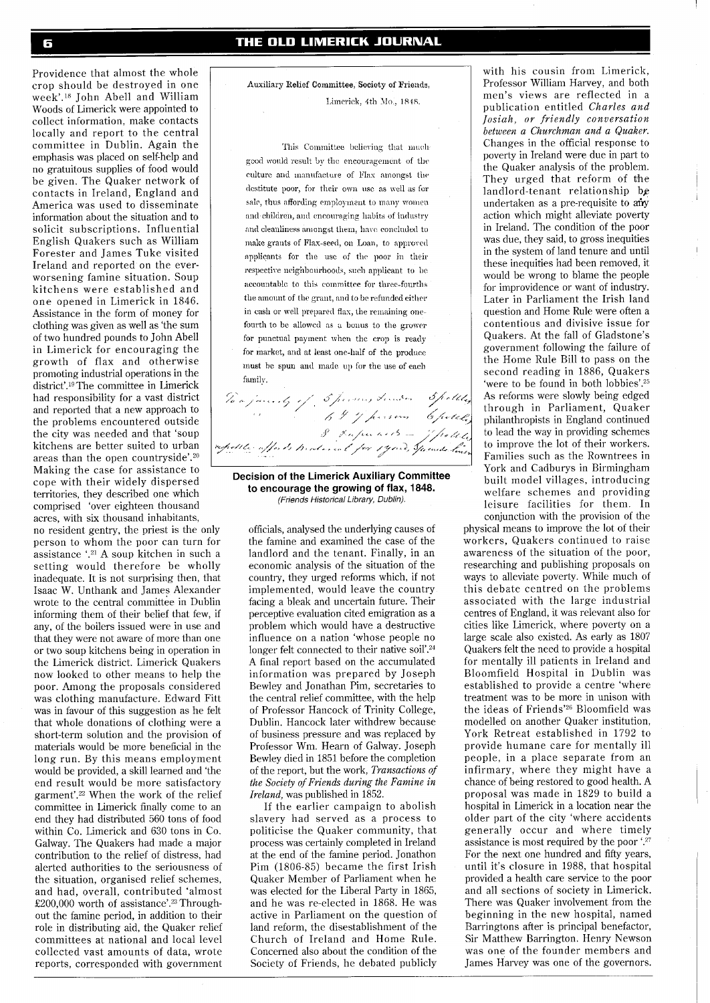Providence that almost the whole crop should be destroyed in one week'.18 John Abell and William Woods of Limerick were appointed to collect information, make contacts locally and report to the central committee in Dublin. Again the emphasis was placed on self-help and no gratuitous supplies of food would be given. The Quaker network of contacts in Ireland, England and America was used to disseminate information about the situation and to solicit subscriptions. Influential English Quakers such as William Forester and James Tuke visited Ireland and reported on the everworsening famine situation. Soup kitchens were established and one opened in Limerick in 1846. Assistance in the form of money for clothing was given as well as 'the sum of two hundred pounds to John Abell in Limerick for encouraging the growth of flax and otherwise promoting industrial operations in the district'.<sup>19</sup>The committee in Limerick had responsibility for a vast district and reported that a new approach to the problems encountered outside the city was needed and that 'soup kitchens are better suited to urban and responsibility for a vast district<br>and responsibility for a vast district<br>and reported that a new approach to<br>the problems encountered outside<br>the city was needed and that 'soup<br>kitchens are better suited to urban<br>are Making the case for assistance to cope with their widely dispersed territories, they described one which comprised 'over eighteen thousand acres, with six thousand inhabitants, no resident gentry, the priest is the only person to whom the poor can turn for assistance '.<sup>21</sup> A soup kitchen in such a setting would therefore be wholly inadequate. It is not surprising then, that Isaac W. Unthank and James Alexander wrote to the central committee in Dublin informing them of their belief that few, if any, of the boilers issued were in use and that they were not aware of more than one or two soup kitchens being in operation in the Limerick district. Limerick Quakers now looked to other means to help the poor. Among the proposals considered was clothing manufacture. Edward Fitt was in favour of this suggestion as he felt that whole donations of clothing were a short-term solution and the provision of materials would be more beneficial in the long run. By this means employment would be provided, a skill learned and 'the end result would be more satisfactory garment'.<sup>22</sup> When the work of the relief committee in Limerick finally come to an end they had distributed 560 tons of food within Co. Limerick and 630 tons in Co. Galway. The Quakers had made a major contribution to the relief of distress, had alerted authorities to the seriousness of the situation, organised relief schemes, and had, overall, contributed 'almost £200,000 worth of assistance'.<sup>23</sup> Throughout the famine period, in addition to their role in distributing aid, the Quaker relief committees at national and local level collected vast amounts of data, wrote reports, corresponded with government

Auxiliary Relief Committee, **Sooicty** of Friends, Limerick. 4th Mo., 1848.

This Committee believing that muchgood would result by the encouragement of the culture and manufacture of Flax amongst the destitute poor, for their own use as well as for sale, thus affording employment to many women and children, and encouraging habits of industry and cleanliness amongst them, have concluded to make grants of Flax-seed, on Loan, to approved applicants for the use of the poor in their respective neighbourhoods, such applicant to be accountable to this committee for three-fourths the amount of the grant, and to be refunded either in cash or well prepared flax, the remaining onefourth to be allowed as a bonus to the grower for punctual payment when the crop is ready for market, and at least one-half of the produce must be spun and made up for the use of each family.

**Decision of the Limerick Auxiliary Committee to encourage the growing of flax, 1848.**  (Friends Historical Library, Dublin).

officials, analysed the underlying causes of the famine and examined the case of the landlord and the tenant. Finally, in an economic analysis of the situation of the country, they urged reforms which, if not implemented, would leave the country facing a bleak and uncertain future. Their perceptive evaluation cited emigration as a problem which would have a destructive influence on a nation 'whose people no longer felt connected to their native soil'.<sup>24</sup> A final report based on the accumulated information was prepared by Joseph Bewley and Jonathan Pim, secretaries to the central relief committee, with the help of Professor Hancock of Trinity College, Dublin. Hancock later withdrew because of business pressure and was replaced by Professor Wm. Hearn of Galway. Joseph Bewley died in 1851 before the completion of the report, but the work, *Transactions of the Society of Friends during the Famine in Ireland,* was published in 1852.

If the earlier campaign to abolish slavery had served as a process to politicise the Quaker community, that process was certainly completed in Ireland at the end of the famine period. Jonathon Pim (1806-85) became the first Irish Quaker Member of Parliament when he was elected for the Liberal Party in 1865, and he was re-elected in 1868. He was active in Parliament on the question of land reform, the disestablishment of the Church of Ireland and Home Rule. Concerned also about the condition of the Society of Friends, he debated publicly

with his cousin from Limerick, Professor William Harvey, and both men's views are reflected in a publication entitled *Charles and Josiah, or friendly conversation between a Churchman and a Quaker.*  Changes in the official response to poverty in Ireland were due in part to the Quaker analysis of the problem. They urged that reform of the landlord-tenant relationship be undertaken as a pre-requisite to any action which might alleviate poverty in Ireland. The condition of the poor was due, they said, to gross inequities in the system of land tenure and until these inequities had been removed, it would be wrong to blame the people for improvidence or want of industry. Later in Parliament the Irish land question and Home Rule were often a contentious and divisive issue for Quakers. At the fall of Gladstone's government following the failure of the Home Rule Bill to pass on the second reading in 1886, Quakers 'were to be found in both lobbies'.25 As reforms were slowly being edged through in Parliament, Quaker philanthropists in England continued to lead the way in providing schemes to improve the lot of their workers. Families such as the Rowntrees in York and Cadburys in Birmingham built model villages, introducing welfare schemes and providing leisure facilities for them. In conjunction with the provision of the

physical means to improve the lot of their workers, Quakers continued to raise awareness of the situation of the poor, researching and publishing proposals on ways to alleviate poverty. While much of this debate centred on the problems associated with the large industrial centres of England, it was relevant also for cities like Limerick, where poverty on a large scale also existed. As early as 1807 Quakers felt the need to provide a hospital for mentally ill patients in Ireland and Bloomfield Hospital in Dublin was established to provide a centre 'where treatment was to be more in unison with the ideas of Friends'<sup>26</sup> Bloomfield was modelled on another Quaker institution, York Retreat established in 1792 to provide humane care for mentally ill people, in a place separate from an infirmary, where they might have a chance of being restored to good health. A proposal was made in 1829 to build a hospital in Limerick in a location near the older part of the city 'where accidents generally occur and where timely assistance is most required by the poor '.<sup>27</sup> For the next one hundred and fifty years, until it's closure in 1988, that hospital provided a health care service to the poor and all sections of society in Limerick. There was Quaker involvement from the beginning in the new hospital, named Barringtons after is principal benefactor, Sir Matthew Barrington. Henry Newson was one of the founder members and James Harvey was one of the governors.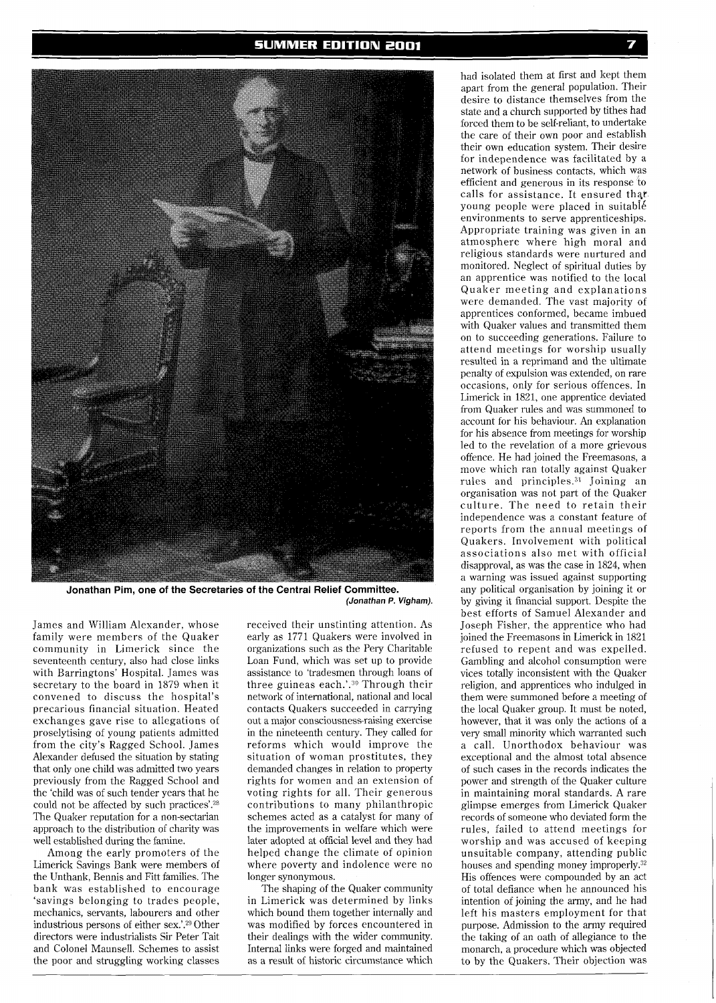

**Jonathan Pim, one of the Secretaries of the Central Relief Committee. (Jonathan P. Vigham).** 

James and William Alexander, whose family were members of the Quaker community in Limerick since the seventeenth century, also had close links with Barringtons' Hospital. James was secretary to the board in 1879 when it convened to discuss the hospital's precarious financial situation. Heated exchanges gave rise to allegations of proselytising of young patients admitted from the city's Ragged School. James Alexander defused the situation by stating that only one child was admitted two years previously from the Ragged School and the 'child was of such tender years that he could not be affected by such practices'.<sup>28</sup> The Quaker reputation for a non-sectarian approach to the distribution of charity was well established during the famine.

Among the early promoters of the Limerick Savings Bank were members of the Unthank, Bennis and Fitt families. The bank was established to encourage 'savings belonging to trades people, mechanics, servants, labourers and other industrious persons of either sex.'.29 Other directors were industrialists Sir Peter Tait and Colonel Maunsell. Schemes to assist the poor and struggling working classes received their unstinting attention. As early as 1771 Quakers were involved in organizations such as the Pery Charitable Loan Fund, which was set up to provide assistance to 'tradesmen through loans of three guineas each.'.30 Through their network of international, national and local contacts Quakers succeeded in carrying out a major consciousness-raising exercise in the nineteenth century. They called for reforms which would improve the situation of woman prostitutes, they demanded changes in relation to property rights for women and an extension of voting rights for all. Their generous contributions to many philanthropic schemes acted as a catalyst for many of the improvements in welfare which were later adopted at official level and they had helped change the climate of opinion where poverty and indolence were no longer synonymous.

The shaping of the Quaker community in Limerick was determined by links which bound them together internally and was modified by forces encountered in their dealings with the wider community. Internal links were forged and maintained as a result of historic circumstance which

had isolated them at first and kept them apart from the general population. Their desire to distance themselves from the state and a church supported by tithes had forced them to be self-reliant, to undertake the care of their own poor and establish their own education system. Their desire for independence was facilitated by a network of business contacts, which was efficient and generous in its response to calls for assistance. It ensured that young people were placed in suitabIk environments to serve apprenticeships. Appropriate training was given in an atmosphere where high moral and religious standards were nurtured and monitored. Neglect of spiritual duties by an apprentice was notified to the local Quaker meeting and explanations were demanded. The vast majority of apprentices conformed, became imbued with Quaker values and transmitted them on to succeeding generations. Failure to attend meetings for worship usually resulted in a reprimand and the ultimate penalty of expulsion was extended, on rare occasions, only for serious offences. In Limerick in 1821, one apprentice deviated from Quaker rules and was summoned to account for his behaviour. An explanation for his absence from meetings for worship led to the revelation of a more grievous offence. He had joined the Freemasons, a move which ran totally against Quaker rules and principles.31 Joining an organisation was not part of the Quaker culture. The need to retain their independence was a constant feature of reports from the annual meetings of Quakers. Involvement with political associations also met with official disapproval, as was the case in 1824, when a warning was issued against supporting any political organisation by joining it or by giving it financial support. Despite the best efforts of Samuel Alexander and Joseph Fisher, the apprentice who had joined the Freemasons in Limerick in 1821 refused to repent and was expelled. Gambling and alcohol consumption were vices totally inconsistent with the Quaker religion, and apprentices who indulged in them were summoned before a meeting of the local Quaker group. It must be noted, however, that it was only the actions of a very small minority which warranted such a call. Unorthodox behaviour was exceptional and the almost total absence of such cases in the records indicates the power and strength of the Quaker culture in maintaining moral standards. A rare glimpse emerges from Limerick Quaker records of someone who deviated form the rules, failed to attend meetings for worship and was accused of keeping unsuitable company, attending public houses and spending money improperly.<sup>32</sup> His offences were compounded by an act of total defiance when he announced his intention of joining the army, and he had left his masters employment for that purpose. Admission to the army required the taking of an oath of allegiance to the monarch, a procedure which was objected to by the Quakers. Their objection was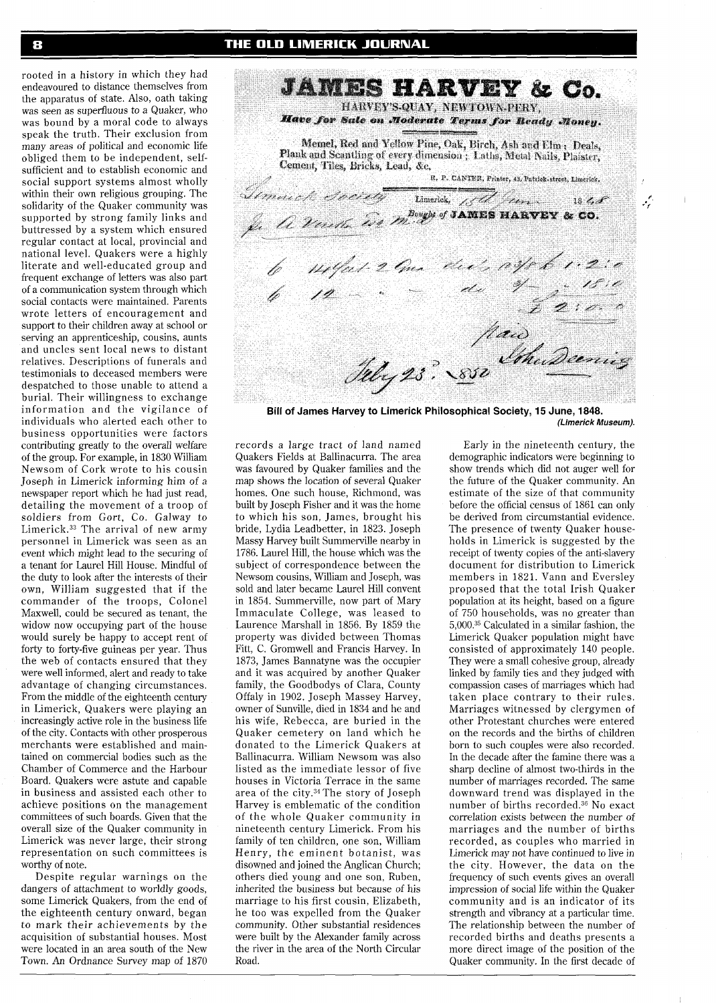rooted in a history in which they had **JAMES HARVEY & Co.** HARVEY'S-QUAY, NEWTOWN-PERY. Have for Sale on Moderate Terms for Beady Monen. Memel, Red and Yellow Pine, Oak, Birch, Ash and Elm; Deals, Plank and Scantling of every dimension; Laths, Metal Nails, Plaister, Cement, Tiles, Bricks, Lead, &c. R. P. CANTER, Printer, 43, Patrick-street, Limerick. a. P. CANTER, Printer, 43, Patrick. tirect, Limerick.<br>Imerical, 1848 Limerick, 184 June 1848<br>Je A Venette WAMESHARVEY & CO. 11/21 2 ma de 1. 0 yr 6 1. 2: 0<br>12 : 11 y- 16: 0<br>12 : 11 de 17 de 18: 0<br>12 de 18: 0 **Bill of James Harvey to Limerick Philosophical Society, 15 June, 1848.**  records a large tract of land named Quakers Fields at Ballinacurra. The area was favoured by Quaker families and the map shows the location of several Quaker homes. One such house, Richmond, was

built by Joseph Fisher and it was the home to which his son, James, brought his bride, Lydia Leadbetter, in 1823. Joseph Massy Harvey built Summerville nearby in 1786. Laurel Hill, the house which was the subject of correspondence between the Newsom cousins, William and Joseph, was sold and later became Laurel Hill convent in 1854. Summerville, now part of Mary Immaculate College, was leased to Laurence Marshal1 in 1856. By 1859 the property was divided between Thomas Fitt, C. Gromwell and Francis Harvey. In 1873, James Bannatyne was the occupier and it was acquired by another Quaker family, the Goodbodys of Clara, County Offaly in 1902. Joseph Massey Harvey, owner of Sunville, died in 1834 and he and his wife, Rebecca, are buried in the Quaker cemetery on land which he donated to the Limerick Quakers at Ballinacurra. William Newsom was also listed as the immediate lessor of five houses in Victoria Terrace in the same area of the city.<sup>34</sup> The story of Joseph Harvey is emblematic of the condition of the whole Quaker community in nineteenth century Limerick. From his family of ten children, one son, William Henry, the eminent botanist, was disowned and joined the Anglican Church; others died young and one son, Ruben, inherited the business but because of his marriage to his first cousin, Elizabeth, he too was expelled from the Quaker community. Other substantial residences were built by the Alexander family across

the river in the area of the North Circular

Road.

Early in the nineteenth century, the demographic indicators were beginning to show trends which did not auger well for the future of the Quaker community. An estimate of the size of that community before the official census of 1861 can only be derived from circumstantial evidence. The presence of twenty Quaker households in Limerick is suggested by the receipt of twenty copies of the anti-slavery document for distribution to Limerick members in 1821. Vann and Eversley proposed that the total Irish Quaker population at its height, based on a figure of 750 households, was no greater than 5,000.35 Calculated in a similar fashion, the Limerick Quaker population might have consisted of approximately 140 people. They were a small cohesive group, already linked by family ties and they judged with compassion cases of marriages which had taken place contrary to their rules. Marriages witnessed by clergymen of other Protestant churches were entered on the records and the births of children born to such couples were also recorded. In the decade after the famine there was a sharp decline of almost two-thirds in the number of marriages recorded. The same downward trend was displayed in the number of births recorded.<sup>36</sup> No exact correlation exists between the number of marriages and the number of births recorded, as couples who married in Limerick may not have continued to live in the city. However, the data on the frequency of such events gives an overall impression of social life within the Quaker community and is an indicator of its strength and vibrancy at a particular time. The relationship between the number of recorded births and deaths presents a more direct image of the position of the Quaker community. In the first decade of

**(Limerick Museum).** 

 $\mathbf{I}$ 

بمبينه

endeavoured to distance themselves from the apparatus of state. Also, oath taking was seen as superfluous to a Quaker, who was bound by a moral code to always speak the truth. Their exclusion from many areas of political and economic life obliged them to be independent, selfsufficient and to establish economic and social support systems almost wholly within their own religious grouping. The solidarity of the Quaker community was supported by strong family links and buttressed by a system which ensured regular contact at local, provincial and national level. Quakers were a highly literate and well-educated group and frequent exchange of letters was also part of a communication system through which social contacts were maintained. Parents wrote letters of encouragement and support to their children away at school or serving an apprenticeship, cousins, aunts and uncles sent local news to distant relatives. Descriptions of funerals and testimonials to deceased members were despatched to those unable to attend a burial. Their willingness to exchange information and the vigilance of individuals who alerted each other to business opportunities were factors contributing greatly to the overall welfare of the group. For example, in 1830 William Newsom of Cork wrote to his cousin Joseph in Limerick informing him of a newspaper report which he had just read, detailing the movement of a troop of soldiers from Gort, Co. Galway to Limerick. $33$  The arrival of new army personnel in Limerick was seen as an event which might lead to the securing of a tenant for Laurel Hill House. Mindful of the duty to look after the interests of their own, William suggested that if the commander of the troops, Colonel Maxwell, could be secured as tenant, the widow now occupying part of the house would surely be happy to accept rent of forty to forty-five guineas per year. Thus the web of contacts ensured that they were well informed, alert and ready to take advantage of changing circumstances. From the middle of the eighteenth century in Limerick, Quakers were playing an increasingly active role in the business life of the city. Contacts with other prosperous merchants were established and maintained on commercial bodies such as the Chamber of Commerce and the Harbour Board. Quakers were astute and capable in business and assisted each other to achieve positions on the management committees of such boards. Given that the overall size of the Quaker community in Limerick was never large, their strong representation on such committees is worthy of note.

Despite regular warnings on the dangers of attachment to worldly goods, some Limerick Quakers, from the end of the eighteenth century onward, began to mark their achievements by the acquisition of substantial houses. Most were located in an area south of the New Town. An Ordnance Survey map of 1870